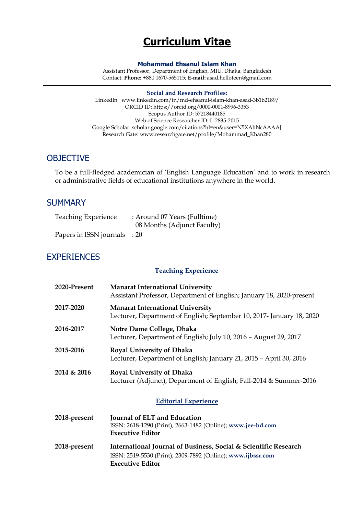# **Curriculum Vitae**

#### **Mohammad Ehsanul Islam Khan**

Assistant Professor, Department of English, MIU, Dhaka, Bangladesh Contact: **Phone:** +880 1670-565115; **E-mail:** asad**.**[helloteen@gmail.com](mailto:asad.helloteen@gmail.com)

#### **Social and Research Profiles:**

LinkedIn: [www.linkedin.com/in/md-ehsanul-islam-khan-asad-3b1b2189/](https://www.linkedin.com/in/md-ehsanul-islam-khan-asad-3b1b2189/) ORCID ID: https:/[/orcid.org/0000-0001-8996-3353](http://orcid.org/0000-0001-8996-3353) Scopus Author ID: 57218440185 Web of Science Researcher ID: L-2835-2015 Google Scholar: [scholar.google.com/citations?hl=en&user=N5XAhNcAAAAJ](https://scholar.google.com/citations?hl=en&user=N5XAhNcAAAAJ) Research Gate: [www.researchgate.net/profile/Mohammad\\_Khan280](https://www.researchgate.net/profile/Mohammad_Khan280)

### **OBJECTIVE**

To be a full-fledged academician of 'English Language Education' and to work in research or administrative fields of educational institutions anywhere in the world.

#### **SUMMARY**

| <b>Teaching Experience</b>   | : Around 07 Years (Fulltime) |
|------------------------------|------------------------------|
|                              | 08 Months (Adjunct Faculty)  |
| Papers in ISSN journals : 20 |                              |

### EXPERIENCES

#### **Teaching Experience**

| 2020-Present | <b>Manarat International University</b><br>Assistant Professor, Department of English; January 18, 2020-present                                           |
|--------------|-----------------------------------------------------------------------------------------------------------------------------------------------------------|
| 2017-2020    | <b>Manarat International University</b><br>Lecturer, Department of English; September 10, 2017- January 18, 2020                                          |
| 2016-2017    | Notre Dame College, Dhaka<br>Lecturer, Department of English; July 10, 2016 - August 29, 2017                                                             |
| 2015-2016    | <b>Royal University of Dhaka</b><br>Lecturer, Department of English; January 21, 2015 - April 30, 2016                                                    |
| 2014 & 2016  | <b>Royal University of Dhaka</b><br>Lecturer (Adjunct), Department of English; Fall-2014 & Summer-2016                                                    |
|              | <b>Editorial Experience</b>                                                                                                                               |
| 2018-present | Journal of ELT and Education<br>ISSN: 2618-1290 (Print), 2663-1482 (Online); www.jee-bd.com<br><b>Executive Editor</b>                                    |
| 2018-present | International Journal of Business, Social & Scientific Research<br>ISSN: 2519-5530 (Print), 2309-7892 (Online); www.ijbssr.com<br><b>Executive Editor</b> |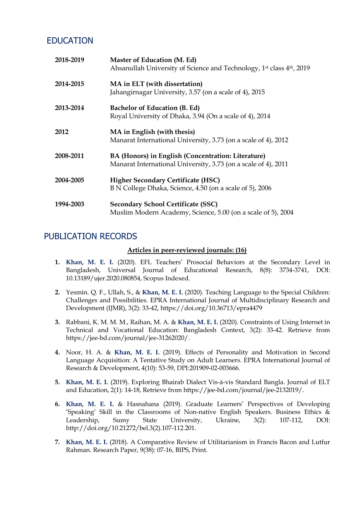## EDUCATION

| 2018-2019 | Master of Education (M. Ed)<br>Ahsanullah University of Science and Technology, 1st class 4th, 2019                  |
|-----------|----------------------------------------------------------------------------------------------------------------------|
| 2014-2015 | MA in ELT (with dissertation)<br>Jahangirnagar University, 3.57 (on a scale of 4), 2015                              |
| 2013-2014 | Bachelor of Education (B. Ed)<br>Royal University of Dhaka, 3.94 (On a scale of 4), 2014                             |
| 2012      | MA in English (with thesis)<br>Manarat International University, 3.73 (on a scale of 4), 2012                        |
| 2008-2011 | BA (Honors) in English (Concentration: Literature)<br>Manarat International University, 3.73 (on a scale of 4), 2011 |
| 2004-2005 | <b>Higher Secondary Certificate (HSC)</b><br>B N College Dhaka, Science, 4.50 (on a scale of 5), 2006                |
| 1994-2003 | <b>Secondary School Certificate (SSC)</b><br>Muslim Modern Academy, Science, 5.00 (on a scale of 5), 2004            |

## PUBLICATION RECORDS

#### **Articles in peer-reviewed journals: (16)**

- **1. Khan, M. E. I.** (2020). EFL Teachers' Prosocial Behaviors at the Secondary Level in Bangladesh, Universal Journal of Educational Research, 8(8): 3734-3741, DOI: 10.13189/ujer.2020.080854, Scopus Indexed.
- **2.** Yesmin. Q. F., Ullah, S., & **Khan, M. E. I.** (2020). Teaching Language to the Special Children: Challenges and Possibilities. EPRA International Journal of Multidisciplinary Research and Development (IJMR), 3(2): 33-42, https://doi.org/10.36713/epra4479
- **3.** Rabbani, K. M. M. M., Raihan, M. A. & **Khan, M. E. I.** (2020). Constraints of Using Internet in Technical and Vocational Education: Bangladesh Context, 3(2): 33-42. Retrieve from [https://jee-bd.com/journal/jee-31262020/.](https://jee-bd.com/journal/jee-31262020/)
- **4.** Noor, H. A. & **Khan, M. E. I.** (2019). Effects of Personality and Motivation in Second Language Acquisition: A Tentative Study on Adult Learners. EPRA International Journal of Research & Development, 4(10): 53-59, [DPI:201909-02-003666.](https://eprajournals.com/hits_update.php?id=1724)
- **5. Khan, M. E. I.** (2019). Exploring Bhairab Dialect Vis-à-vis Standard Bangla. Journal of ELT and Education, 2(1): 14-18, Retrieve from [https://jee-bd.com/journal/jee-2132019/.](https://jee-bd.com/journal/jee-2132019/)
- **6. Khan, M. E. I.** & Hasnahana (2019). Graduate Learners' Perspectives of Developing 'Speaking' Skill in the Classrooms of Non-native English Speakers. Business Ethics & Leadership, Sumy State University, Ukraine, 3(2): 107-112, DOI: [http://doi.org/10.21272/bel.3\(2\).107-112.201.](http://doi.org/10.21272/bel.3(2).107-112.2019)
- **7. Khan, M. E. I.** (2018). A Comparative Review of Utilitarianism in Francis Bacon and Lutfur Rahman. Research Paper, 9(38): 07-16, BIPS, Print.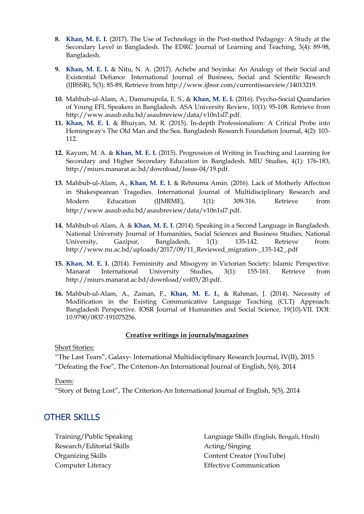- **8. Khan, M. E. I.** (2017). The Use of Technology in the Post-method Pedagogy: A Study at the Secondary Level in Bangladesh. The EDRC Journal of Learning and Teaching, 3(4): 89-98, Bangladesh.
- **9. Khan, M. E. I.** & Nitu, N. A. (2017). Achebe and Soyinka: An Analogy of their Social and Existential Defiance. International Journal of Business, Social and Scientific Research (IJBSSR), 5(3): 85-89, Retrieve from http://www.ijbssr.com/currentissueview/14013219.
- **10.** Mahbub-ul-Alam, A., Damunupola, E. S., & **Khan, M. E. I.** (2016). Psycho-Social Quandaries of Young EFL Speakers in Bangladesh. ASA University Review, 10(1): 95-108. Retrieve from [http://www.asaub.edu.bd/asaubreview/data/v10n1sl7.pdf.](http://www.asaub.edu.bd/asaubreview/data/v10n1sl7.pdf)
- **11. Khan, M. E. I.** & Bhuiyan, M. R. (2015). In-depth Professionalism: A Critical Probe into Hemingway's The Old Man and the Sea. Bangladesh Research Foundation Journal, 4(2): 103- 112.
- **12.** Kayum, M. A. & **Khan, M. E. I.** (2015). Progression of Writing in Teaching and Learning for Secondary and Higher Secondary Education in Bangladesh. MIU Studies, 4(1): 176-183, [http://miurs.manarat.ac.bd/download/Issue-04/19.pdf.](http://miurs.manarat.ac.bd/download/Issue-04/19.pdf)
- **13.** Mahbub-ul-Alam, A., **Khan, M. E. I.** & Rehnuma Amin. (2016). Lack of Motherly Affection in Shakespearean Tragedies. International Journal of Multidisciplinary Research and Modern Education (IJMRME), 1(1): 309-316. Retrieve from http://www.asaub.edu.bd/asaubreview/data/v10n1sl7.pdf.
- **14.** Mahbub-ul-Alam, A. & **Khan, M. E. I.** (2014). Speaking in a Second Language in Bangladesh. National University Journal of Humanities, Social Sciences and Business Studies, National University, Gazipur, Bangladesh, 1(1): 135-142. Retrieve from: [http://www.nu.ac.bd/uploads/2017/09/11\\_Reviewed\\_migration-\\_135-142\\_.pdf](http://www.nu.ac.bd/uploads/2017/09/11_Reviewed_migration-_135-142_.pdf)
- **15. Khan, M. E. I.** (2014). Femininity and Misogyny in Victorian Society: Islamic Perspective. Manarat International University Studies, 3(1): 155-161. Retrieve from [http://miurs.manarat.ac.bd/download/vol03/20.pdf.](http://miurs.manarat.ac.bd/download/vol03/20.pdf)
- **16.** Mahbub-ul-Alam, A., Zaman, F., **Khan, M. E. I.**, & Rahman, J. (2014). Necessity of Modification in the Existing Communicative Language Teaching (CLT) Approach: Bangladesh Perspective. IOSR Journal of Humanities and Social Science, 19(10)-VII. DOI: 10.9790/0837-191075256.

#### **Creative writings in journals/magazines**

Short Stories:

"The Last Tears", Galaxy- International Multidisciplinary Research Journal, IV(II), 2015 "Defeating the Foe", The Criterion-An International Journal of English, 5(6), 2014

#### Poem:

"Story of Being Lost", The Criterion-An International Journal of English, 5(5), 2014

### OTHER SKILLS

Training/Public Speaking Research/Editorial Skills Organizing Skills Computer Literacy

Language Skills (English, Bengali, Hindi) Acting/Singing Content Creator (YouTube) Effective Communication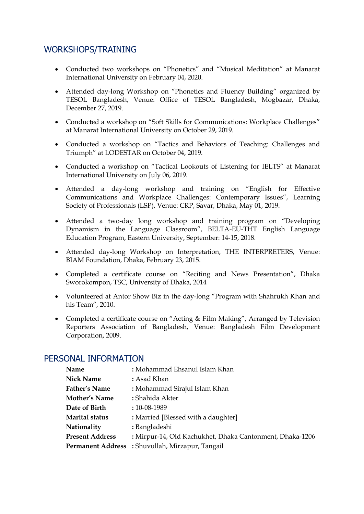## WORKSHOPS/TRAINING

- Conducted two workshops on "Phonetics" and "Musical Meditation" at Manarat International University on February 04, 2020.
- Attended day-long Workshop on "Phonetics and Fluency Building" organized by TESOL Bangladesh, Venue: Office of TESOL Bangladesh, Mogbazar, Dhaka, December 27, 2019.
- Conducted a workshop on "Soft Skills for Communications: Workplace Challenges" at Manarat International University on October 29, 2019.
- Conducted a workshop on "Tactics and Behaviors of Teaching: Challenges and Triumph" at LODESTAR on October 04, 2019.
- Conducted a workshop on "Tactical Lookouts of Listening for IELTS" at Manarat International University on July 06, 2019.
- Attended a day-long workshop and training on "English for Effective Communications and Workplace Challenges: Contemporary Issues", Learning Society of Professionals (LSP), Venue: CRP, Savar, Dhaka, May 01, 2019.
- Attended a two-day long workshop and training program on "Developing Dynamism in the Language Classroom", BELTA-EU-THT English Language Education Program, Eastern University, September: 14-15, 2018.
- Attended day-long Workshop on Interpretation, THE INTERPRETERS, Venue: BIAM Foundation, Dhaka, February 23, 2015.
- Completed a certificate course on "Reciting and News Presentation", Dhaka Sworokompon, TSC, University of Dhaka, 2014
- Volunteered at Antor Show Biz in the day-long "Program with Shahrukh Khan and his Team", 2010.
- Completed a certificate course on "Acting & Film Making", Arranged by Television Reporters Association of Bangladesh, Venue: Bangladesh Film Development Corporation, 2009.

| Name                   | : Mohammad Ehsanul Islam Khan                            |
|------------------------|----------------------------------------------------------|
| <b>Nick Name</b>       | : Asad Khan                                              |
| Father's Name          | : Mohammad Sirajul Islam Khan                            |
| <b>Mother's Name</b>   | : Shahida Akter                                          |
| Date of Birth          | $:10-08-1989$                                            |
| Marital status         | : Married [Blessed with a daughter]                      |
| Nationality            | : Bangladeshi                                            |
| <b>Present Address</b> | : Mirpur-14, Old Kachukhet, Dhaka Cantonment, Dhaka-1206 |
|                        | <b>Permanent Address</b> : Shuvullah, Mirzapur, Tangail  |

### PERSONAL INFORMATION